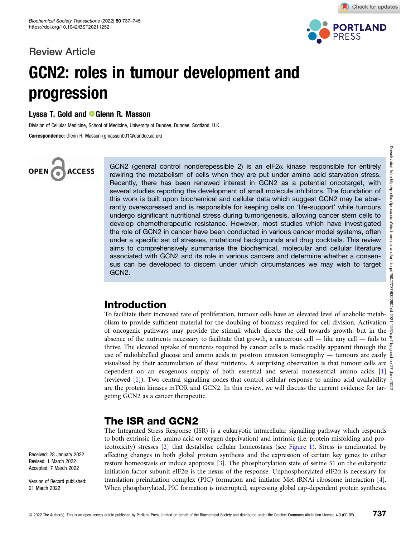# Review Article



Check for updates

# GCN2: roles in tumour development and progression

Lyssa T. Gold and **G**Glenn R. Masson

Division of Cellular Medicine, School of Medicine, University of Dundee, Dundee, Scotland, U.K.

Correspondence: Glenn R. Masson (gmasson001@dundee.ac.uk)

# OPEN G **ACCESS**

GCN2 (general control nonderepessible 2) is an eIF2 $\alpha$  kinase responsible for entirely rewiring the metabolism of cells when they are put under amino acid starvation stress. Recently, there has been renewed interest in GCN2 as a potential oncotarget, with several studies reporting the development of small molecule inhibitors. The foundation of this work is built upon biochemical and cellular data which suggest GCN2 may be aberrantly overexpressed and is responsible for keeping cells on 'life-support' while tumours undergo significant nutritional stress during tumorigenesis, allowing cancer stem cells to develop chemotherapeutic resistance. However, most studies which have investigated the role of GCN2 in cancer have been conducted in various cancer model systems, often under a specific set of stresses, mutational backgrounds and drug cocktails. This review aims to comprehensively summarise the biochemical, molecular and cellular literature associated with GCN2 and its role in various cancers and determine whether a consensus can be developed to discern under which circumstances we may wish to target GCN2.

# Introduction

To facilitate their increased rate of proliferation, tumour cells have an elevated level of anabolic metabolism to provide sufficient material for the doubling of biomass required for cell division. Activation of oncogenic pathways may provide the stimuli which directs the cell towards growth, but in the absence of the nutrients necessary to facilitate that growth, a cancerous cell — like any cell — fails to  $\frac{8}{9}$ thrive. The elevated uptake of nutrients required by cancer cells is made readily apparent through the  $\frac{8}{9}$ use of radiolabelled glucose and amino acids in positron emission tomography — tumours are easily  $\frac{8}{3}$ visualised by their accumulation of these nutrients. A surprising observation is that tumour cells are  $\frac{9}{12}$ dependent on an exogenous supply of both essential and several nonessential amino acids  $[1] \geq$  $[1] \geq$  $[1] \geq$ (reviewed [[1](#page-6-0)]). Two central signalling nodes that control cellular response to amino acid availability  $\frac{3}{8}$ are the protein kinases mTOR and GCN2. In this review, we will discuss the current evidence for targeting GCN2 as a cancer therapeutic.

# The ISR and GCN2

The Integrated Stress Response (ISR) is a eukaryotic intracellular signalling pathway which responds to both extrinsic (i.e. amino acid or oxygen deprivation) and intrinsic (i.e. protein misfolding and proteotoxicity) stresses [[2\]](#page-6-0) that destabilise cellular homeostasis (see [Figure 1](#page-1-0)). Stress is ameliorated by affecting changes in both global protein synthesis and the expression of certain key genes to either restore homeostasis or induce apoptosis [[3](#page-6-0)]. The phosphorylation state of serine 51 on the eukaryotic initiation factor subunit eIF2 $\alpha$  is the nexus of the response. Unphosphorylated eIF2 $\alpha$  is necessary for translation preinitiation complex (PIC) formation and initiator Met-tRNAi ribosome interaction [\[4](#page-6-0)]. When phosphorylated, PIC formation is interrupted, supressing global cap-dependent protein synthesis.

Received: 28 January 2022 Revised: 1 March 2022 Accepted: 7 March 2022

Version of Record published: 21 March 2022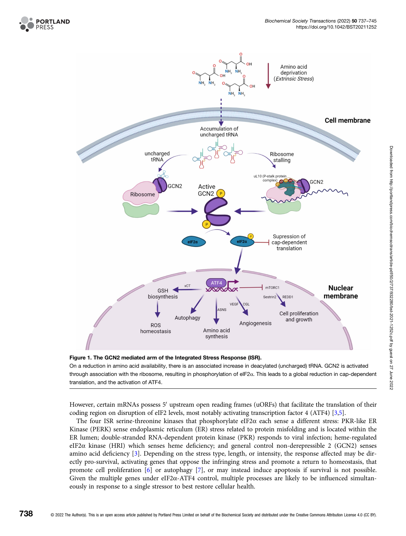<span id="page-1-0"></span>

Figure 1. The GCN2 mediated arm of the Integrated Stress Response (ISR).

On a reduction in amino acid availability, there is an associated increase in deacylated (uncharged) tRNA. GCN2 is activated through association with the ribosome, resulting in phosphorylation of eIF2α. This leads to a global reduction in cap-dependent translation, and the activation of ATF4.

However, certain mRNAs possess 5' upstream open reading frames (uORFs) that facilitate the translation of their coding region on disruption of eIF2 levels, most notably activating transcription factor 4 (ATF4) [\[3,5\]](#page-6-0).

The four ISR serine-threonine kinases that phosphorylate eIF2α each sense a different stress: PKR-like ER Kinase (PERK) sense endoplasmic reticulum (ER) stress related to protein misfolding and is located within the ER lumen; double-stranded RNA-dependent protein kinase (PKR) responds to viral infection; heme-regulated eIF2 $\alpha$  kinase (HRI) which senses heme deficiency; and general control non-derepressible 2 (GCN2) senses amino acid deficiency [[3\]](#page-6-0). Depending on the stress type, length, or intensity, the response affected may be directly pro-survival, activating genes that oppose the infringing stress and promote a return to homeostasis, that promote cell proliferation [\[6](#page-6-0)] or autophagy [\[7\]](#page-6-0), or may instead induce apoptosis if survival is not possible. Given the multiple genes under eIF2 $\alpha$ -ATF4 control, multiple processes are likely to be influenced simultaneously in response to a single stressor to best restore cellular health.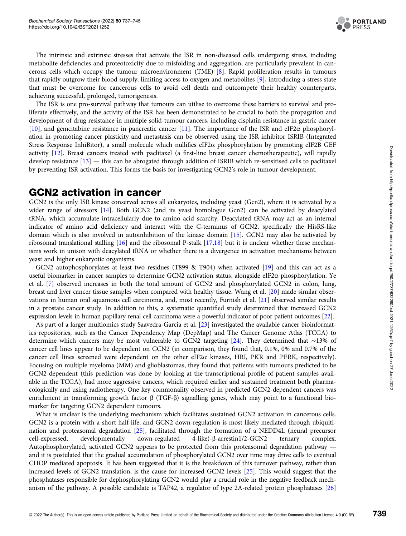

The intrinsic and extrinsic stresses that activate the ISR in non-diseased cells undergoing stress, including metabolite deficiencies and proteotoxicity due to misfolding and aggregation, are particularly prevalent in cancerous cells which occupy the tumour microenvironment (TME) [[8\]](#page-6-0). Rapid proliferation results in tumours that rapidly outgrow their blood supply, limiting access to oxygen and metabolites [\[9](#page-6-0)], introducing a stress state that must be overcome for cancerous cells to avoid cell death and outcompete their healthy counterparts, achieving successful, prolonged, tumorigenesis.

The ISR is one pro-survival pathway that tumours can utilise to overcome these barriers to survival and proliferate effectively, and the activity of the ISR has been demonstrated to be crucial to both the propagation and development of drug resistance in multiple solid-tumour cancers, including cisplatin resistance in gastric cancer [[10\]](#page-6-0), and gemcitabine resistance in pancreatic cancer [\[11\]](#page-6-0). The importance of the ISR and eIF2 $\alpha$  phosphorylation in promoting cancer plasticity and metastasis can be observed using the ISR inhibitor ISRIB (Integrated Stress Response InhiBitor), a small molecule which nullifies eIF2 $\alpha$  phosphorylation by promoting eIF2B GEF activity [\[12\]](#page-6-0). Breast cancers treated with paclitaxel (a first-line breast cancer chemotherapeutic), will rapidly develop resistance [[13\]](#page-7-0) — this can be abrogated through addition of ISRIB which re-sensitised cells to paclitaxel by preventing ISR activation. This forms the basis for investigating GCN2's role in tumour development.

### GCN2 activation in cancer

GCN2 is the only ISR kinase conserved across all eukaryotes, including yeast (Gcn2), where it is activated by a wider range of stressors [[14](#page-7-0)]. Both GCN2 (and its yeast homologue Gcn2) can be activated by deacylated tRNA, which accumulate intracellularly due to amino acid scarcity. Deacylated tRNA may act as an internal indicator of amino acid deficiency and interact with the C-terminus of GCN2, specifically the HisRS-like domain which is also involved in autoinhibition of the kinase domain [\[15\]](#page-7-0). GCN2 may also be activated by ribosomal translational stalling [\[16\]](#page-7-0) and the ribosomal P-stalk [\[17,18\]](#page-7-0) but it is unclear whether these mechanisms work in unison with deacylated tRNA or whether there is a divergence in activation mechanisms between yeast and higher eukaryotic organisms.

GCN2 autophosphorylates at least two residues (T899 & T904) when activated [\[19\]](#page-7-0) and this can act as a useful biomarker in cancer samples to determine GCN2 activation status, alongside eIF2α phosphorylation. Ye et al. [\[7\]](#page-6-0) observed increases in both the total amount of GCN2 and phosphorylated GCN2 in colon, lung, breast and liver cancer tissue samples when compared with healthy tissue. Wang et al. [[20](#page-7-0)] made similar observations in human oral squamous cell carcinoma, and, most recently, Furnish et al. [\[21\]](#page-7-0) observed similar results in a prostate cancer study. In addition to this, a systematic quantified study determined that increased GCN2 expression levels in human papillary renal cell carcinoma were a powerful indicator of poor patient outcomes [[22\]](#page-7-0).

As part of a larger multiomics study Saavedra-Garcia et al. [[23](#page-7-0)] investigated the available cancer bioinformatics repositories, such as the Cancer Dependency Map (DepMap) and The Cancer Genome Atlas (TCGA) to determine which cancers may be most vulnerable to GCN2 targeting [\[24\]](#page-7-0). They determined that ∼13% of cancer cell lines appear to be dependent on GCN2 (in comparison, they found that, 0.1%, 0% and 0.7% of the cancer cell lines screened were dependent on the other eIF2 $\alpha$  kinases, HRI, PKR and PERK, respectively). Focusing on multiple myeloma (MM) and glioblastomas, they found that patients with tumours predicted to be GCN2-dependent (this prediction was done by looking at the transcriptional profile of patient samples available in the TCGA), had more aggressive cancers, which required earlier and sustained treatment both pharmacologically and using radiotherapy. One key commonality observed in predicted GCN2-dependent cancers was enrichment in transforming growth factor β (TGF-β) signalling genes, which may point to a functional biomarker for targeting GCN2 dependent tumours.

What is unclear is the underlying mechanism which facilitates sustained GCN2 activation in cancerous cells. GCN2 is a protein with a short half-life, and GCN2 down-regulation is most likely mediated through ubiquitination and proteasomal degradation [[25](#page-7-0)], facilitated through the formation of a NEDD4L (neural precursor cell-expressed, developmentally down-regulated 4-like)-β-arrestin1/2-GCN2 ternary complex. Autophosphorylated, activated GCN2 appears to be protected from this proteasomal degradation pathway and it is postulated that the gradual accumulation of phosphorylated GCN2 over time may drive cells to eventual CHOP mediated apoptosis. It has been suggested that it is the breakdown of this turnover pathway, rather than increased levels of GCN2 translation, is the cause for increased GCN2 levels [\[25\]](#page-7-0). This would suggest that the phosphatases responsible for dephosphorylating GCN2 would play a crucial role in the negative feedback mechanism of the pathway. A possible candidate is TAP42, a regulator of type 2A-related protein phosphatases [\[26\]](#page-7-0)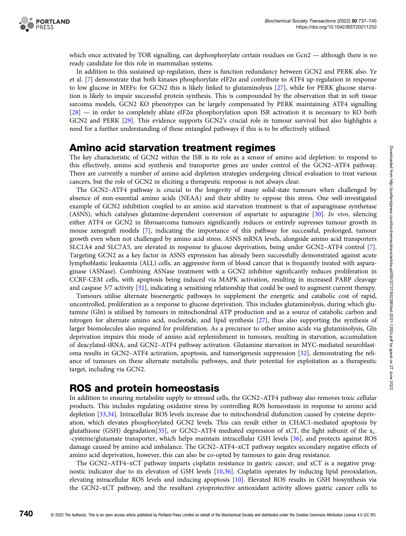

which once activated by TOR signalling, can dephosphorylate certain residues on Gcn2 — although there is no ready candidate for this role in mammalian systems.

In addition to this sustained up-regulation, there is function redundancy between GCN2 and PERK also. Ye et al. [\[7\]](#page-6-0) demonstrate that both kinases phosphorylate eIF2α and contribute to ATF4 up-regulation in response to low glucose in MEFs: for GCN2 this is likely linked to glutaminolysis [\[27\]](#page-7-0), while for PERK glucose starvation is likely to impair successful protein synthesis. This is compounded by the observation that in soft tissue sarcoma models, GCN2 KO phenotypes can be largely compensated by PERK maintaining ATF4 signalling [[28](#page-7-0)] — in order to completely ablate eIF2 $\alpha$  phosphorylation upon ISR activation it is necessary to KO both GCN2 and PERK [[29](#page-7-0)]. This evidence supports GCN2's crucial role in tumour survival but also highlights a need for a further understanding of these entangled pathways if this is to be effectively utilised.

### Amino acid starvation treatment regimes

The key characteristic of GCN2 within the ISR is its role as a sensor of amino acid depletion: to respond to this effectively, amino acid synthesis and transporter genes are under control of the GCN2–ATF4 pathway. There are currently a number of amino acid depletion strategies undergoing clinical evaluation to treat various cancers, but the role of GCN2 in eliciting a therapeutic response is not always clear.

The GCN2–ATF4 pathway is crucial to the longevity of many solid-state tumours when challenged by absence of non-essential amino acids (NEAA) and their ability to oppose this stress. One well-investigated example of GCN2 inhibition coupled to an amino acid starvation treatment is that of asparaginase synthetase (ASNS), which catalyses glutamine-dependent conversion of aspartate to asparagine [[30](#page-7-0)]. In vivo, silencing either ATF4 or GCN2 in fibrosarcoma tumours significantly reduces or entirely supresses tumour growth in mouse xenograft models [[7](#page-6-0)], indicating the importance of this pathway for successful, prolonged, tumour growth even when not challenged by amino acid stress. ASNS mRNA levels, alongside amino acid transporters SLC1A4 and SLC7A5, are elevated in response to glucose deprivation, being under GCN2–ATF4 control [\[7](#page-6-0)]. Targeting GCN2 as a key factor in ASNS expression has already been successfully demonstrated against acute lymphoblastic leukaemia (ALL) cells, an aggressive form of blood cancer that is frequently treated with asparaginase (ASNase). Combining ASNase treatment with a GCN2 inhibitor significantly reduces proliferation in CCRF-CEM cells, with apoptosis being induced via MAPK activation, resulting in increased PARP cleavage and caspase 3/7 activity [[31](#page-7-0)], indicating a sensitising relationship that could be used to augment current therapy.

Tumours utilise alternate bioenergetic pathways to supplement the energetic and catabolic cost of rapid, uncontrolled, proliferation as a response to glucose deprivation. This includes glutaminolysis, during which glutamine (Gln) is utilised by tumours in mitochondrial ATP production and as a source of catabolic carbon and nitrogen for alternate amino acid, nucleotide, and lipid synthesis [[27](#page-7-0)], thus also supporting the synthesis of larger biomolecules also required for proliferation. As a precursor to other amino acids via glutaminolysis, Gln deprivation impairs this mode of amino acid replenishment in tumours, resulting in starvation, accumulation of deacylated-tRNA, and GCN2–ATF4 pathway activation. Glutamine starvation in MYC-mediated neuroblastoma results in GCN2–ATF4 activation, apoptosis, and tumorigenesis suppression [[32](#page-7-0)], demonstrating the reliance of tumours on these alternate metabolic pathways, and their potential for exploitation as a therapeutic target, including via GCN2.

# ROS and protein homeostasis

In addition to ensuring metabolite supply to stressed cells, the GCN2–ATF4 pathway also removes toxic cellular products. This includes regulating oxidative stress by controlling ROS homeostasis in response to amino acid depletion [\[33,34](#page-7-0)]. Intracellular ROS levels increase due to mitochondrial disfunction caused by cysteine deprivation, which elevates phosphorylated GCN2 levels. This can result either in CHAC1-mediated apoptosis by glutathione (GSH) degradation[[35](#page-7-0)], or GCN2–ATF4 mediated expression of xCT, the light subunit of the  $x_c$ --cysteine/glutamate transporter, which helps maintain intracellular GSH levels [[36](#page-7-0)], and protects against ROS damage caused by amino acid imbalance. The GCN2–ATF4–xCT pathway negates secondary negative effects of amino acid deprivation, however, this can also be co-opted by tumours to gain drug resistance.

The GCN2–ATF4–xCT pathway imparts cisplatin resistance in gastric cancer, and xCT is a negative prognostic indicator due to its elevation of GSH levels [\[10](#page-6-0)[,36\]](#page-7-0). Cisplatin operates by inducing lipid peroxidation, elevating intracellular ROS levels and inducing apoptosis [\[10\]](#page-6-0). Elevated ROS results in GSH biosynthesis via the GCN2–xCT pathway, and the resultant cytoprotective antioxidant activity allows gastric cancer cells to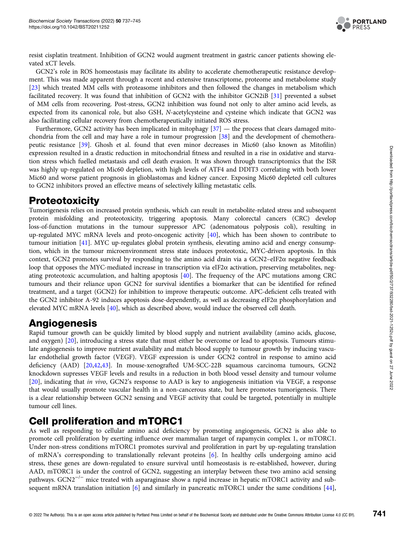

resist cisplatin treatment. Inhibition of GCN2 would augment treatment in gastric cancer patients showing elevated xCT levels.

GCN2's role in ROS homeostasis may facilitate its ability to accelerate chemotherapeutic resistance development. This was made apparent through a recent and extensive transcriptome, proteome and metabolome study [[23\]](#page-7-0) which treated MM cells with proteasome inhibitors and then followed the changes in metabolism which facilitated recovery. It was found that inhibition of GCN2 with the inhibitor GCN2iB [[31\]](#page-7-0) prevented a subset of MM cells from recovering. Post-stress, GCN2 inhibition was found not only to alter amino acid levels, as expected from its canonical role, but also GSH, N-acetylcysteine and cysteine which indicate that GCN2 was also facilitating cellular recovery from chemotherapeutically initiated ROS stress.

Furthermore, GCN2 activity has been implicated in mitophagy [\[37\]](#page-7-0) — the process that clears damaged mitochondria from the cell and may have a role in tumour progression [\[38](#page-7-0)] and the development of chemotherapeutic resistance [[39\]](#page-7-0). Ghosh et al. found that even minor decreases in Mic60 (also known as Mitofilin) expression resulted in a drastic reduction in mitochondrial fitness and resulted in a rise in oxidative and starvation stress which fuelled metastasis and cell death evasion. It was shown through transcriptomics that the ISR was highly up-regulated on Mic60 depletion, with high levels of ATF4 and DDIT3 correlating with both lower Mic60 and worse patient prognosis in glioblastomas and kidney cancer. Exposing Mic60 depleted cell cultures to GCN2 inhibitors proved an effective means of selectively killing metastatic cells.

### **Proteotoxicity**

Tumorigenesis relies on increased protein synthesis, which can result in metabolite-related stress and subsequent protein misfolding and proteotoxicity, triggering apoptosis. Many colorectal cancers (CRC) develop loss-of-function mutations in the tumour suppressor APC (adenomatous polyposis coli), resulting in up-regulated MYC mRNA levels and proto-oncogenic activity [[40](#page-7-0)], which has been shown to contribute to tumour initiation [\[41\]](#page-7-0). MYC up-regulates global protein synthesis, elevating amino acid and energy consumption, which in the tumour microenvironment stress state induces proteotoxic, MYC-driven apoptosis. In this context, GCN2 promotes survival by responding to the amino acid drain via a GCN2–eIF2α negative feedback loop that opposes the MYC-mediated increase in transcription via eIF2 $\alpha$  activation, preserving metabolites, negating proteotoxic accumulation, and halting apoptosis [\[40\]](#page-7-0). The frequency of the APC mutations among CRC tumours and their reliance upon GCN2 for survival identifies a biomarker that can be identified for refined treatment, and a target (GCN2) for inhibition to improve therapeutic outcome. APC-deficient cells treated with the GCN2 inhibitor A-92 induces apoptosis dose-dependently, as well as decreasing eIF2α phosphorylation and elevated MYC mRNA levels [\[40](#page-7-0)], which as described above, would induce the observed cell death.

# Angiogenesis

Rapid tumour growth can be quickly limited by blood supply and nutrient availability (amino acids, glucose, and oxygen) [\[20\]](#page-7-0), introducing a stress state that must either be overcome or lead to apoptosis. Tumours stimulate angiogenesis to improve nutrient availability and match blood supply to tumour growth by inducing vascular endothelial growth factor (VEGF). VEGF expression is under GCN2 control in response to amino acid deficiency (AAD) [[20,42](#page-7-0),[43](#page-7-0)]. In mouse-xenografted UM-SCC-22B squamous carcinoma tumours, GCN2 knockdown supresses VEGF levels and results in a reduction in both blood vessel density and tumour volume [[20\]](#page-7-0), indicating that in vivo, GCN2's response to AAD is key to angiogenesis initiation via VEGF, a response that would usually promote vascular health in a non-cancerous state, but here promotes tumorigenesis. There is a clear relationship between GCN2 sensing and VEGF activity that could be targeted, potentially in multiple tumour cell lines.

# Cell proliferation and mTORC1

As well as responding to cellular amino acid deficiency by promoting angiogenesis, GCN2 is also able to promote cell proliferation by exerting influence over mammalian target of rapamycin complex 1, or mTORC1. Under non-stress conditions mTORC1 promotes survival and proliferation in part by up-regulating translation of mRNA's corresponding to translationally relevant proteins [[6\]](#page-6-0). In healthy cells undergoing amino acid stress, these genes are down-regulated to ensure survival until homeostasis is re-established, however, during AAD, mTORC1 is under the control of GCN2, suggesting an interplay between these two amino acid sensing pathways. GCN2<sup>−/−</sup> mice treated with asparaginase show a rapid increase in hepatic mTORC1 activity and subsequent mRNA translation initiation [[6](#page-6-0)] and similarly in pancreatic mTORC1 under the same conditions [\[44\]](#page-8-0),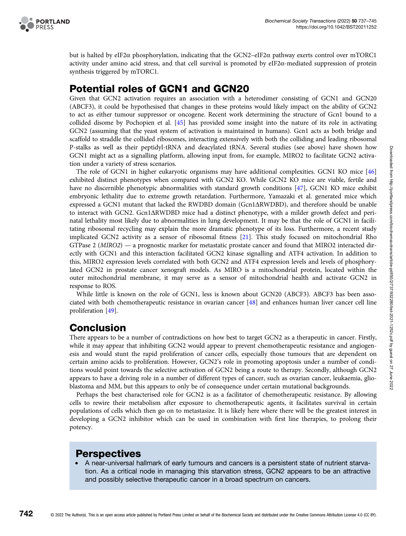

but is halted by eIF2 $\alpha$  phosphorylation, indicating that the GCN2–eIF2 $\alpha$  pathway exerts control over mTORC1 activity under amino acid stress, and that cell survival is promoted by eIF2α-mediated suppression of protein synthesis triggered by mTORC1.

# Potential roles of GCN1 and GCN20

Given that GCN2 activation requires an association with a heterodimer consisting of GCN1 and GCN20 (ABCF3), it could be hypothesised that changes in these proteins would likely impact on the ability of GCN2 to act as either tumour suppressor or oncogene. Recent work determining the structure of Gcn1 bound to a collided disome by Pochopien et al. [\[45\]](#page-8-0) has provided some insight into the nature of its role in activating GCN2 (assuming that the yeast system of activation is maintained in humans). Gcn1 acts as both bridge and scaffold to straddle the collided ribosomes, interacting extensively with both the colliding and leading ribosomal P-stalks as well as their peptidyl-tRNA and deacylated tRNA. Several studies (see above) have shown how GCN1 might act as a signalling platform, allowing input from, for example, MIRO2 to facilitate GCN2 activation under a variety of stress scenarios.

The role of GCN1 in higher eukaryotic organisms may have additional complexities. GCN1 KO mice [[46](#page-8-0)] exhibited distinct phenotypes when compared with GCN2 KO. While GCN2 KO mice are viable, fertile and have no discernible phenotypic abnormalities with standard growth conditions [[47](#page-8-0)], GCN1 KO mice exhibit embryonic lethality due to extreme growth retardation. Furthermore, Yamazaki et al. generated mice which expressed a GCN1 mutant that lacked the RWDBD domain (Gcn1ΔRWDBD), and therefore should be unable to interact with GCN2. Gcn1ΔRWDBD mice had a distinct phenotype, with a milder growth defect and perinatal lethality most likely due to abnormalities in lung development. It may be that the role of GCN1 in facilitating ribosomal recycling may explain the more dramatic phenotype of its loss. Furthermore, a recent study implicated GCN2 activity as a sensor of ribosomal fitness [\[21](#page-7-0)]. This study focused on mitochondrial Rho GTPase 2 (MIRO2) — a prognostic marker for metastatic prostate cancer and found that MIRO2 interacted directly with GCN1 and this interaction facilitated GCN2 kinase signalling and ATF4 activation. In addition to this, MIRO2 expression levels correlated with both GCN2 and ATF4 expression levels and levels of phosphorylated GCN2 in prostate cancer xenograft models. As MIRO is a mitochondrial protein, located within the outer mitochondrial membrane, it may serve as a sensor of mitochondrial health and activate GCN2 in response to ROS.

While little is known on the role of GCN1, less is known about GCN20 (ABCF3). ABCF3 has been associated with both chemotherapeutic resistance in ovarian cancer [\[48\]](#page-8-0) and enhances human liver cancer cell line proliferation [\[49\]](#page-8-0).

# Conclusion

There appears to be a number of contradictions on how best to target GCN2 as a therapeutic in cancer. Firstly, while it may appear that inhibiting GCN2 would appear to prevent chemotherapeutic resistance and angiogenesis and would stunt the rapid proliferation of cancer cells, especially those tumours that are dependent on certain amino acids to proliferation. However, GCN2's role in promoting apoptosis under a number of conditions would point towards the selective activation of GCN2 being a route to therapy. Secondly, although GCN2 appears to have a driving role in a number of different types of cancer, such as ovarian cancer, leukaemia, glioblastoma and MM, but this appears to only be of consequence under certain mutational backgrounds.

Perhaps the best characterised role for GCN2 is as a facilitator of chemotherapeutic resistance. By allowing cells to rewire their metabolism after exposure to chemotherapeutic agents, it facilitates survival in certain populations of cells which then go on to metastasize. It is likely here where there will be the greatest interest in developing a GCN2 inhibitor which can be used in combination with first line therapies, to prolong their potency.

# Perspectives

• A near-universal hallmark of early tumours and cancers is a persistent state of nutrient starvation. As a critical node in managing this starvation stress, GCN2 appears to be an attractive and possibly selective therapeutic cancer in a broad spectrum on cancers.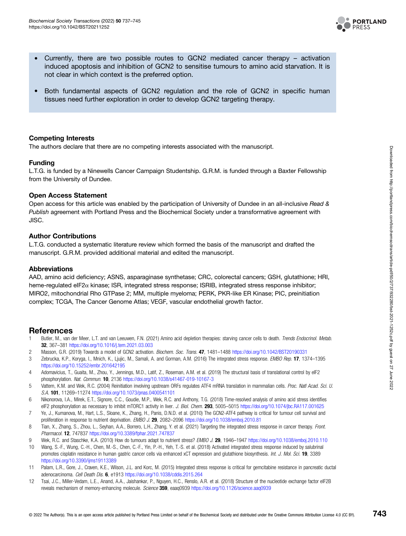

- <span id="page-6-0"></span>• Currently, there are two possible routes to GCN2 mediated cancer therapy – activation induced apoptosis and inhibition of GCN2 to sensitise tumours to amino acid starvation. It is not clear in which context is the preferred option.
- Both fundamental aspects of GCN2 regulation and the role of GCN2 in specific human tissues need further exploration in order to develop GCN2 targeting therapy.

#### Competing Interests

The authors declare that there are no competing interests associated with the manuscript.

#### Funding

L.T.G. is funded by a Ninewells Cancer Campaign Studentship. G.R.M. is funded through a Baxter Fellowship from the University of Dundee.

#### Open Access Statement

Open access for this article was enabled by the participation of University of Dundee in an all-inclusive Read & Publish agreement with Portland Press and the Biochemical Society under a transformative agreement with JISC.

#### Author Contributions

L.T.G. conducted a systematic literature review which formed the basis of the manuscript and drafted the manuscript. G.R.M. provided additional material and edited the manuscript.

#### Abbreviations

AAD, amino acid deficiency; ASNS, asparaginase synthetase; CRC, colorectal cancers; GSH, glutathione; HRI, heme-regulated eIF2 $\alpha$  kinase; ISR, integrated stress response; ISRIB, integrated stress response inhibitor; MIRO2, mitochondrial Rho GTPase 2; MM, multiple myeloma; PERK, PKR-like ER Kinase; PIC, preinitiation complex; TCGA, The Cancer Genome Atlas; VEGF, vascular endothelial growth factor.

### References

- 1 Butler, M., van der Meer, L.T. and van Leeuwen, F.N. (2021) Amino acid depletion therapies: starving cancer cells to death. Trends Endocrinol. Metab. 32, 367–381 <https://doi.org/10.1016/j.tem.2021.03.003>
- 2 Masson, G.R. (2019) Towards a model of GCN2 activation. Biochem. Soc. Trans. 47, 1481–1488 <https://doi.org/10.1042/BST20190331>
- 3 Zebrucka, K.P., Koryga, I., Mnich, K., Ljujic, M., Samali, A. and Gorman, A.M. (2016) The integrated stress response. EMBO Rep. 17, 1374–1395 <https://doi.org/10.15252/embr.201642195>
- 4 Adomavicius, T., Guaita, M., Zhou, Y., Jennings, M.D., Latif, Z., Roseman, A.M. et al. (2019) The structural basis of translational control by eIF2 phosphorylation. Nat. Commun. 10, 2136 <https://doi.org/10.1038/s41467-019-10167-3>
- 5 Vattem, K.M. and Wek, R.C. (2004) Reinitiation involving upstream ORFs regulates ATF4 mRNA translation in mammalian cells. Proc. Natl Acad. Sci. U. S.A. 101, 11269–11274 <https://doi.org/10.1073/pnas.0400541101>
- 6 Nikonorova, I.A., Mirek, E.T., Signore, C.C., Goudie, M.P., Wek, R.C. and Anthony, T.G. (2018) Time-resolved analysis of amino acid stress identifies eIF2 phosphorylation as necessary to inhibit mTORC1 activity in liver. J. Biol. Chem. 293, 5005-5015 <https://doi.org/10.1074/jbc.RA117.001625>
- 7 Ye, J., Kumanova, M., Hart, L.S., Sloane, K., Zhang, H., Panis, D.N.D. et al. (2010) The GCN2-ATF4 pathway is critical for tumour cell survival and proliferation in response to nutrient deprivation. EMBO J. 29, 2082–2096 <https://doi.org/10.1038/emboj.2010.81>
- 8 Tian, X., Zhang, S., Zhou, L., Seyhan, A.A., Borrero, L.H., Zhang, Y. et al. (2021) Targeting the integrated stress response in cancer therapy. Front. Pharmacol. 12, 747837 <https://doi.org/10.3389/fphar.2021.747837>
- 9 Wek, R.C. and Staschke, K.A. (2010) How do tumours adapt to nutrient stress? EMBO J. 29, 1946-1947 <https://doi.org/10.1038/emboj.2010.110>
- 10 Wang, S.-F., Wung, C.-H., Chen, M.-S., Chen, C.-F., Yin, P.-H., Yeh, T.-S. et al. (2018) Activated integrated stress response induced by salubrinal promotes cisplatin resistance in human gastric cancer cells via enhanced xCT expression and glutathione biosynthesis. Int. J. Mol. Sci. 19, 3389 <https://doi.org/10.3390/ijms19113389>
- 11 Palam, L.R., Gore, J., Craven, K.E., Wilson, J.L. and Korc, M. (2015) Integrated stress response is critical for gemcitabine resistance in pancreatic ductal adenocarcinoma. Cell Death Dis. 6, e1913 <https://doi.org/10.1038/cddis.2015.264>
- 12 Tsai, J.C., Miller-Vedam, L.E., Anand, A.A., Jaishankar, P., Nguyen, H.C., Renslo, A.R. et al. (2018) Structure of the nucleotide exchange factor eIF2B reveals mechanism of memory-enhancing molecule. Science 359, eaaq0939 <https://doi.org/10.1126/science.aaq0939>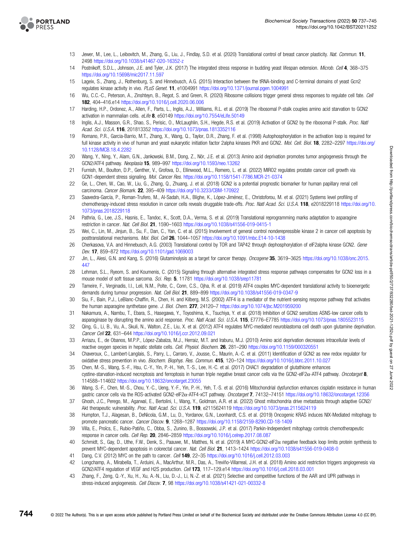<span id="page-7-0"></span>

- 13 Jewer, M., Lee, L., Leibovitch, M., Zhang, G., Liu, J., Findlay, S.D. et al. (2020) Translational control of breast cancer plasticity. Nat. Commun. 11, 2498 <https://doi.org/10.1038/s41467-020-16352-z>
- 14 Postnikoff, S.D.L., Johnson, J.E. and Tyler, J.K. (2017) The integrated stress response in budding yeast lifespan extension. Microb. Cell 4, 368–375 <https://doi.org/10.15698/mic2017.11.597>
- 15 Lageix, S., Zhang, J., Rothenburg, S. and Hinnebusch, A.G. (2015) Interaction between the tRNA-binding and C-terminal domains of yeast Gcn2 regulates kinase activity in vivo. PLoS Genet. 11, e1004991 <https://doi.org/10.1371/journal.pgen.1004991>
- 16 Wu, C.C.-C., Peterson, A., Zinshteyn, B., Regot, S. and Green, R. (2020) Ribosome collisions trigger general stress responses to regulate cell fate. Cell 182, 404–416.e14 <https://doi.org/10.1016/j.cell.2020.06.006>
- 17 Harding, H.P., Ordonez, A., Allen, F., Parts, L., Inglis, A.J., Williams, R.L. et al. (2019) The ribosomal P-stalk couples amino acid starvation to GCN2 activation in mammalian cells. eLife 8, e50149 <https://doi.org/10.7554/eLife.50149>
- 18 Inglis, A.J., Masson, G.R., Shao, S., Perisic, O., McLaughlin, S.H., Hegde, R.S. et al. (2019) Activation of GCN2 by the ribosomal P-stalk. Proc. Natl Acad. Sci. U.S.A. 116, 201813352 <https://doi.org/10.1073/pnas.1813352116>
- 19 Romano, P.R., Garcia-Barrio, M.T., Zhang, X., Wang, Q., Taylor, D.R., Zhang, F. et al. (1998) Autophosphorylation in the activation loop is required for full kinase activity in vivo of human and yeast eukaryotic initiation factor 2alpha kinases PKR and GCN2. Mol. Cell. Biol. 18, 2282-2297 [https://doi.org/](https://doi.org/10.1128/MCB.18.4.2282) [10.1128/MCB.18.4.2282](https://doi.org/10.1128/MCB.18.4.2282)
- 20 Wang, Y., Ning, Y., Alam, G.N., Jankowski, B.M., Dong, Z., Nör, J.E. et al. (2013) Amino acid deprivation promotes tumor angiogenesis through the GCN2/ATF4 pathway. Neoplasia 15, 989–997 <https://doi.org/10.1593/neo.13262>
- 21 Furnish, M., Boulton, D.P., Genther, V., Grofova, D., Ellinwood, M.L., Romero, L. et al. (2022) MIRO2 regulates prostate cancer cell growth via GCN1-dependent stress signaling. Mol. Cancer Res. <https://doi.org/10.1158/1541-7786.MCR-21-0374>
- 22 Ge, L., Chen, W., Cao, W., Liu, G., Zhang, Q., Zhuang, J. et al. (2018) GCN2 is a potential prognostic biomarker for human papillary renal cell carcinoma. Cancer Biomark. 22, 395–409 <https://doi.org/10.3233/CBM-170922>
- 23 Saavedra-García, P., Roman-Trufero, M., Al-Sadah, H.A., Blighe, K., López-Jiménez, E., Christoforou, M. et al. (2021) Systems level profiling of chemotherapy-induced stress resolution in cancer cells reveals druggable trade-offs. Proc. Natl Acad. Sci. U.S.A. 118, e2018229118 [https://doi.org/10.](https://doi.org/10.1073/pnas.2018229118) [1073/pnas.2018229118](https://doi.org/10.1073/pnas.2018229118)
- 24 Pathria, G., Lee, J.S., Hasnis, E., Tandoc, K., Scott, D.A., Verma, S. et al. (2019) Translational reprogramming marks adaptation to asparagine restriction in cancer. Nat. Cell Biol. 21, 1590–1603 <https://doi.org/10.1038/s41556-019-0415-1>
- 25 Wei, C., Lin, M., Jinjun, B., Su, F., Dan, C., Yan, C. et al. (2015) Involvement of general control nonderepressible kinase 2 in cancer cell apoptosis by posttranslational mechanisms. Mol. Biol. Cell 26, 1044–1057 <https://doi.org/10.1091/mbc.E14-10-1438>
- 26 Cherkasova, V.A. and Hinnebusch, A.G. (2003) Translational control by TOR and TAP42 through dephosphorylation of elF2alpha kinase GCN2. Gene Dev. 17, 859–872 <https://doi.org/10.1101/gad.1069003>
- 27 Jin, L., Alesi, G.N. and Kang, S. (2016) Glutaminolysis as a target for cancer therapy. Oncogene 35, 3619-3625 [https://doi.org/10.1038/onc.2015.](https://doi.org/10.1038/onc.2015.447) [447](https://doi.org/10.1038/onc.2015.447)
- 28 Lehman, S.L., Ryeom, S. and Koumenis, C. (2015) Signaling through alternative integrated stress response pathways compensates for GCN2 loss in a mouse model of soft tissue sarcoma. Sci. Rep. 5, 11781 <https://doi.org/10.1038/srep11781>
- 29 Tameire, F., Verginadis, I.I., Leli, N.M., Polte, C., Conn, C.S., Ojha, R. et al. (2019) ATF4 couples MYC-dependent translational activity to bioenergetic demands during tumour progression. Nat. Cell Biol. 21, 889-899 <https://doi.org/10.1038/s41556-019-0347-9>
- 30 Siu, F., Bain, P.J., LeBlanc-Chaffin, R., Chen, H. and Kilberg, M.S. (2002) ATF4 is a mediator of the nutrient-sensing response pathway that activates the human asparagine synthetase gene. J. Biol. Chem. 277, 24120-7 <https://doi.org/10.1074/jbc.M201959200>
- 31 Nakamura, A., Nambu, T., Ebara, S., Hasegawa, Y., Toyoshima, K., Tsuchiya, Y. et al. (2018) Inhibition of GCN2 sensitizes ASNS-low cancer cells to asparaginase by disrupting the amino acid response. Proc. Natl Acad. Sci. U.S.A. 115, E7776-E7785 <https://doi.org/10.1073/pnas.1805523115>
- 32 Qing, G., Li, B., Vu, A., Skuli, N., Walton, Z.E., Liu, X. et al. (2012) ATF4 regulates MYC-mediated neuroblastoma cell death upon glutamine deprivation. Cancer Cell 22, 631–644 <https://doi.org/10.1016/j.ccr.2012.09.021>
- 33 Arriazu, E., de Obanos, M.P.P., López-Zabalza, M.J., Herraiz, M.T. and Iraburu, M.J. (2010) Amino acid deprivation decreases intracellular levels of reactive oxygen species in hepatic stellate cells. Cell. Physiol. Biochem. 26, 281-290 <https://doi.org/10.1159/000320551>
- 34 Chaveroux, C., Lambert-Langlais, S., Parry, L., Carraro, V., Jousse, C., Maurin, A.-C. et al. (2011) Identification of GCN2 as new redox regulator for oxidative stress prevention in vivo. Biochem. Biophys. Res. Commun. 415, 120–124 <https://doi.org/10.1016/j.bbrc.2011.10.027>
- 35 Chen, M.-S., Wang, S.-F., Hsu, C.-Y., Yin, P.-H., Yeh, T.-S., Lee, H.-C. et al. (2017) CHAC1 degradation of glutathione enhances cystine-starvation-induced necroptosis and ferroptosis in human triple negative breast cancer cells via the GCN2-eIF2 $\alpha$ -ATF4 pathway. Oncotarget 8, 114588–114602 <https://doi.org/10.18632/oncotarget.23055>
- 36 Wang, S.-F., Chen, M.-S., Chou, Y.-C., Ueng, Y.-F., Yin, P.-H., Yeh, T.-S. et al. (2016) Mitochondrial dysfunction enhances cisplatin resistance in human gastric cancer cells via the ROS-activated GCN2-eIF2α-ATF4-xCT pathway. Oncotarget 7, 74132-74151 <https://doi.org/10.18632/oncotarget.12356>
- 37 Ghosh, J.C., Perego, M., Agarwal, E., Bertolini, I., Wang, Y., Goldman, A.R. et al. (2022) Ghost mitochondria drive metastasis through adaptive GCN2/ Akt therapeutic vulnerability. Proc. Natl Acad. Sci. U.S.A. 119, e2115624119 <https://doi.org/10.1073/pnas.2115624119>
- 38 Humpton, T.J., Alagesan, B., DeNicola, G.M., Lu, D., Yordanov, G.N., Leonhardt, C.S. et al. (2019) Oncogenic KRAS induces NIX-Mediated mitophagy to promote pancreatic cancer. Cancer Discov. 9, 1268–1287 <https://doi.org/10.1158/2159-8290.CD-18-1409>
- 39 Villa, E., Proïcs, E., Rubio-Patiño, C., Obba, S., Zunino, B., Bossowski, J.P. et al. (2017) Parkin-Independent mitophagy controls chemotherapeutic response in cancer cells. Cell Rep. 20, 2846–2859 <https://doi.org/10.1016/j.celrep.2017.08.087>
- 40 Schmidt, S., Gay, D., Uthe, F.W., Denk, S., Paauwe, M., Matthes, N. et al. (2019) A MYC-GCN2-eIF2α negative feedback loop limits protein synthesis to prevent MYC-dependent apoptosis in colorectal cancer. Nat. Cell Biol. 21, 1413–1424 <https://doi.org/10.1038/s41556-019-0408-0>
- 41 Dang, C.V. (2012) MYC on the path to cancer. Cell 149, 22–35 <https://doi.org/10.1016/j.cell.2012.03.003>
- 42 Longchamp, A., Mirabella, T., Arduini, A., MacArthur, M.R., Das, A., Treviño-Villarreal, J.H. et al. (2018) Amino acid restriction triggers angiogenesis via GCN2/ATF4 regulation of VEGF and H2S production. Cell 173, 117–129.e14 <https://doi.org/10.1016/j.cell.2018.03.001>
- 43 Zhang, F., Zeng, Q.-Y., Xu, H., Xu, A.-N., Liu, D.-J., Li, N.-Z. et al. (2021) Selective and competitive functions of the AAR and UPR pathways in stress-induced angiogenesis. Cell Discov. 7, 98 <https://doi.org/10.1038/s41421-021-00332-8>